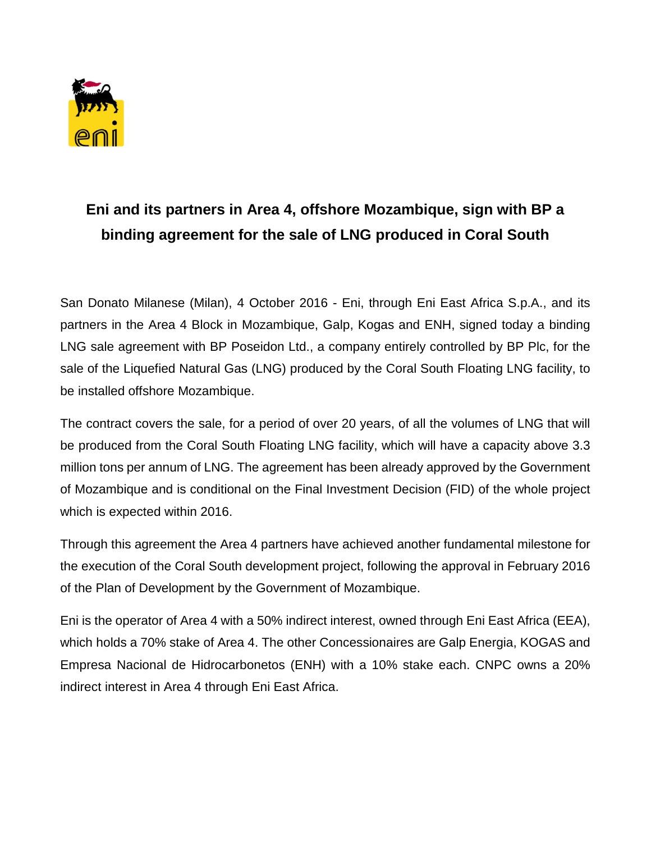

## **Eni and its partners in Area 4, offshore Mozambique, sign with BP a binding agreement for the sale of LNG produced in Coral South**

San Donato Milanese (Milan), 4 October 2016 - Eni, through Eni East Africa S.p.A., and its partners in the Area 4 Block in Mozambique, Galp, Kogas and ENH, signed today a binding LNG sale agreement with BP Poseidon Ltd., a company entirely controlled by BP Plc, for the sale of the Liquefied Natural Gas (LNG) produced by the Coral South Floating LNG facility, to be installed offshore Mozambique.

The contract covers the sale, for a period of over 20 years, of all the volumes of LNG that will be produced from the Coral South Floating LNG facility, which will have a capacity above 3.3 million tons per annum of LNG. The agreement has been already approved by the Government of Mozambique and is conditional on the Final Investment Decision (FID) of the whole project which is expected within 2016.

Through this agreement the Area 4 partners have achieved another fundamental milestone for the execution of the Coral South development project, following the approval in February 2016 of the Plan of Development by the Government of Mozambique.

Eni is the operator of Area 4 with a 50% indirect interest, owned through Eni East Africa (EEA), which holds a 70% stake of Area 4. The other Concessionaires are Galp Energia, KOGAS and Empresa Nacional de Hidrocarbonetos (ENH) with a 10% stake each. CNPC owns a 20% indirect interest in Area 4 through Eni East Africa.